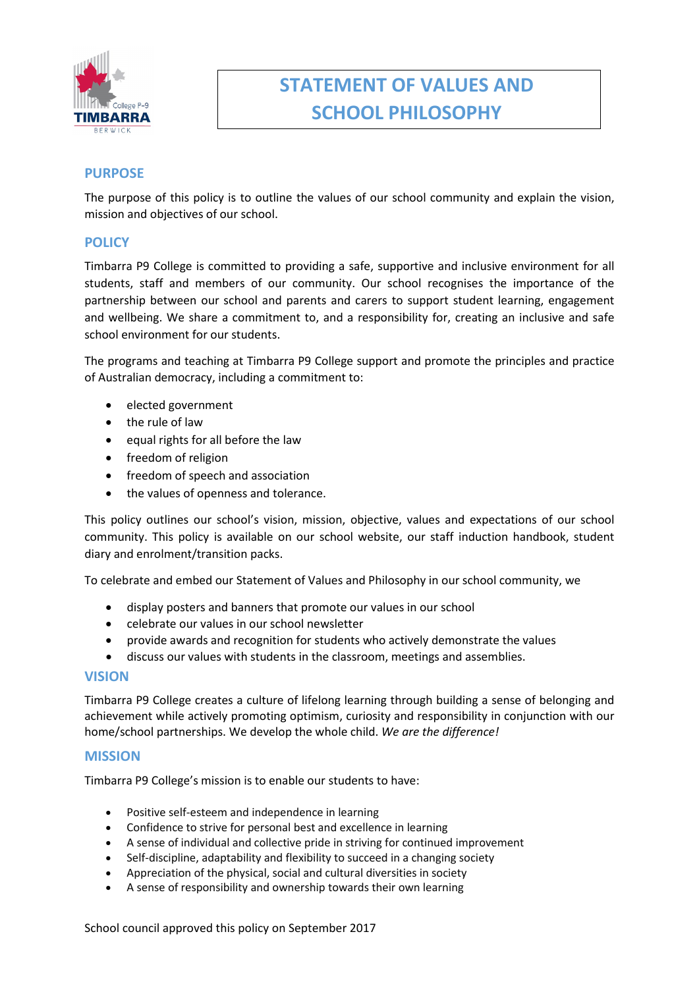

# **STATEMENT OF VALUES AND SCHOOL PHILOSOPHY**

# **PURPOSE**

The purpose of this policy is to outline the values of our school community and explain the vision, mission and objectives of our school.

## **POLICY**

Timbarra P9 College is committed to providing a safe, supportive and inclusive environment for all students, staff and members of our community. Our school recognises the importance of the partnership between our school and parents and carers to support student learning, engagement and wellbeing. We share a commitment to, and a responsibility for, creating an inclusive and safe school environment for our students.

The programs and teaching at Timbarra P9 College support and promote the principles and practice of Australian democracy, including a commitment to:

- elected government
- the rule of law
- equal rights for all before the law
- freedom of religion
- freedom of speech and association
- the values of openness and tolerance.

This policy outlines our school's vision, mission, objective, values and expectations of our school community. This policy is available on our school website, our staff induction handbook, student diary and enrolment/transition packs.

To celebrate and embed our Statement of Values and Philosophy in our school community, we

- display posters and banners that promote our values in our school
- celebrate our values in our school newsletter
- provide awards and recognition for students who actively demonstrate the values
- discuss our values with students in the classroom, meetings and assemblies.

#### **VISION**

Timbarra P9 College creates a culture of lifelong learning through building a sense of belonging and achievement while actively promoting optimism, curiosity and responsibility in conjunction with our home/school partnerships. We develop the whole child. *We are the difference!*

#### **MISSION**

Timbarra P9 College's mission is to enable our students to have:

- Positive self-esteem and independence in learning
- Confidence to strive for personal best and excellence in learning
- A sense of individual and collective pride in striving for continued improvement
- Self-discipline, adaptability and flexibility to succeed in a changing society
- Appreciation of the physical, social and cultural diversities in society
- A sense of responsibility and ownership towards their own learning

School council approved this policy on September 2017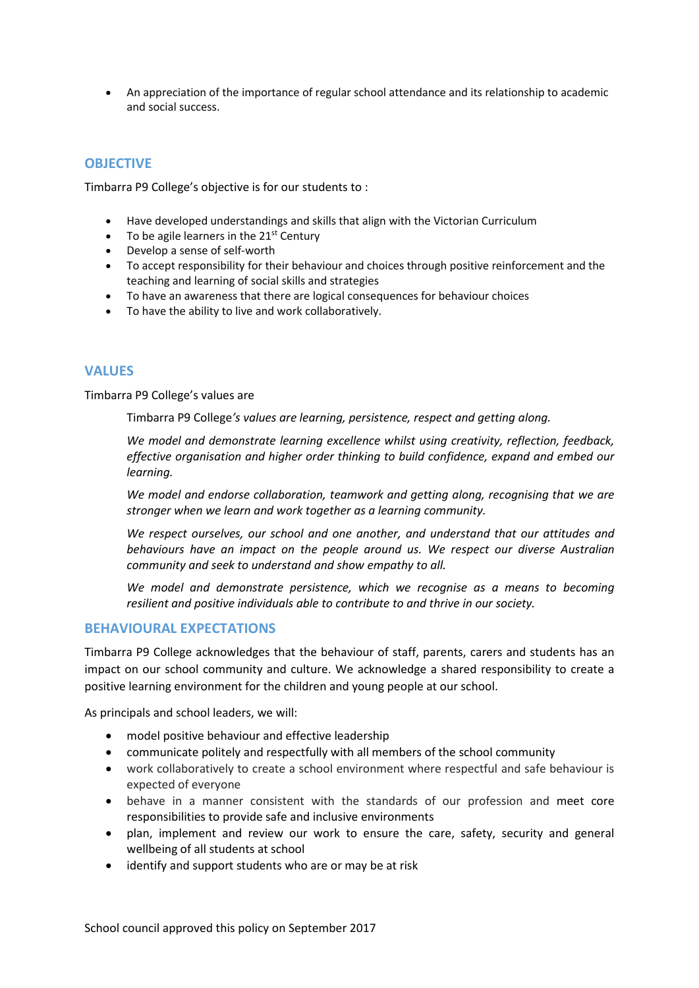• An appreciation of the importance of regular school attendance and its relationship to academic and social success.

# **OBJECTIVE**

Timbarra P9 College's objective is for our students to :

- Have developed understandings and skills that align with the Victorian Curriculum
- To be agile learners in the  $21<sup>st</sup>$  Century
- Develop a sense of self-worth
- To accept responsibility for their behaviour and choices through positive reinforcement and the teaching and learning of social skills and strategies
- To have an awareness that there are logical consequences for behaviour choices
- To have the ability to live and work collaboratively.

### **VALUES**

Timbarra P9 College's values are

Timbarra P9 College*'s values are learning, persistence, respect and getting along.*

*We model and demonstrate learning excellence whilst using creativity, reflection, feedback, effective organisation and higher order thinking to build confidence, expand and embed our learning.*

*We model and endorse collaboration, teamwork and getting along, recognising that we are stronger when we learn and work together as a learning community.*

*We respect ourselves, our school and one another, and understand that our attitudes and behaviours have an impact on the people around us. We respect our diverse Australian community and seek to understand and show empathy to all.*

*We model and demonstrate persistence, which we recognise as a means to becoming resilient and positive individuals able to contribute to and thrive in our society.*

#### **BEHAVIOURAL EXPECTATIONS**

Timbarra P9 College acknowledges that the behaviour of staff, parents, carers and students has an impact on our school community and culture. We acknowledge a shared responsibility to create a positive learning environment for the children and young people at our school.

As principals and school leaders, we will:

- model positive behaviour and effective leadership
- communicate politely and respectfully with all members of the school community
- work collaboratively to create a school environment where respectful and safe behaviour is expected of everyone
- behave in a manner consistent with the standards of our profession and meet core responsibilities to provide safe and inclusive environments
- plan, implement and review our work to ensure the care, safety, security and general wellbeing of all students at school
- identify and support students who are or may be at risk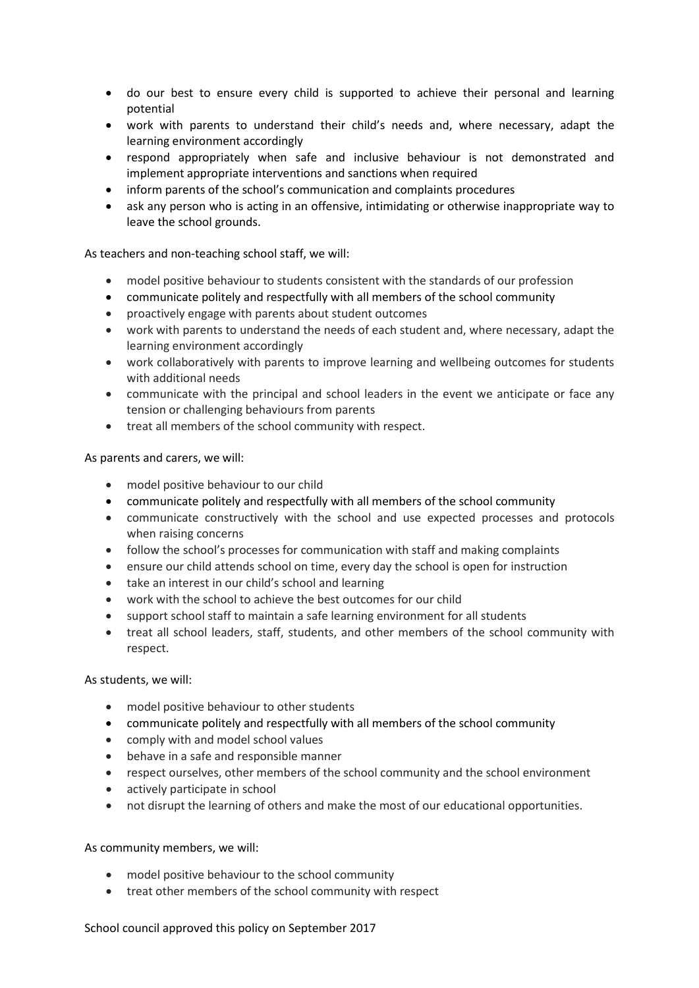- do our best to ensure every child is supported to achieve their personal and learning potential
- work with parents to understand their child's needs and, where necessary, adapt the learning environment accordingly
- respond appropriately when safe and inclusive behaviour is not demonstrated and implement appropriate interventions and sanctions when required
- inform parents of the school's communication and complaints procedures
- ask any person who is acting in an offensive, intimidating or otherwise inappropriate way to leave the school grounds.

As teachers and non-teaching school staff, we will:

- model positive behaviour to students consistent with the standards of our profession
- communicate politely and respectfully with all members of the school community
- proactively engage with parents about student outcomes
- work with parents to understand the needs of each student and, where necessary, adapt the learning environment accordingly
- work collaboratively with parents to improve learning and wellbeing outcomes for students with additional needs
- communicate with the principal and school leaders in the event we anticipate or face any tension or challenging behaviours from parents
- treat all members of the school community with respect.

#### As parents and carers, we will:

- model positive behaviour to our child
- communicate politely and respectfully with all members of the school community
- communicate constructively with the school and use expected processes and protocols when raising concerns
- follow the school's processes for communication with staff and making complaints
- ensure our child attends school on time, every day the school is open for instruction
- take an interest in our child's school and learning
- work with the school to achieve the best outcomes for our child
- support school staff to maintain a safe learning environment for all students
- treat all school leaders, staff, students, and other members of the school community with respect.

#### As students, we will:

- model positive behaviour to other students
- communicate politely and respectfully with all members of the school community
- comply with and model school values
- behave in a safe and responsible manner
- respect ourselves, other members of the school community and the school environment
- actively participate in school
- not disrupt the learning of others and make the most of our educational opportunities.

#### As community members, we will:

- model positive behaviour to the school community
- treat other members of the school community with respect

#### School council approved this policy on September 2017